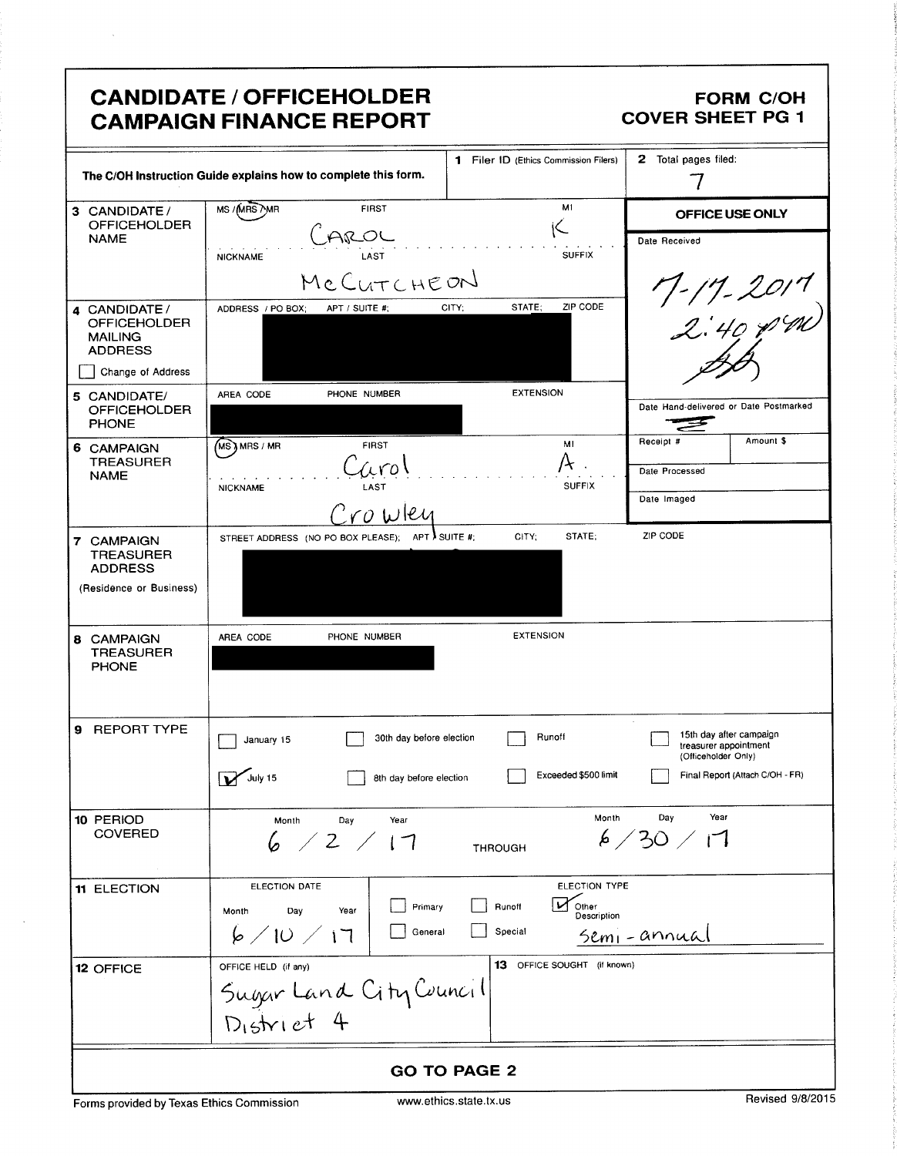|                                                                                               | <b>CANDIDATE / OFFICEHOLDER</b><br><b>CAMPAIGN FINANCE REPORT</b>                                                                    | <b>FORM C/OH</b><br><b>COVER SHEET PG 1</b>                                                                              |
|-----------------------------------------------------------------------------------------------|--------------------------------------------------------------------------------------------------------------------------------------|--------------------------------------------------------------------------------------------------------------------------|
|                                                                                               | 1 Filer ID (Ethics Commission Filers)<br>The C/OH Instruction Guide explains how to complete this form.                              | 2 Total pages filed:                                                                                                     |
| 3 CANDIDATE /<br><b>OFFICEHOLDER</b>                                                          | M1<br>MS /MRS /MR<br><b>FIRST</b>                                                                                                    | OFFICE USE ONLY                                                                                                          |
| <b>NAME</b>                                                                                   | <u>JAROL</u><br><b>SUFFIX</b><br><b>NICKNAME</b><br>MCCUTCHEON                                                                       | Date Received                                                                                                            |
| 4 CANDIDATE /<br><b>OFFICEHOLDER</b><br><b>MAILING</b><br><b>ADDRESS</b><br>Change of Address | ZIP CODE<br>STATE;<br>CITY;<br>ADDRESS / PO BOX;<br>APT / SUITE #;                                                                   | $7 - 17 - 2017$<br>2:40 pm)                                                                                              |
| 5 CANDIDATE/<br><b>OFFICEHOLDER</b><br><b>PHONE</b>                                           | <b>EXTENSION</b><br>PHONE NUMBER<br>AREA CODE                                                                                        | Date Hand-delivered or Date Postmarked                                                                                   |
| 6 CAMPAIGN<br><b>TREASURER</b><br><b>NAME</b>                                                 | MI<br>MS ) MRS / MR<br><b>FIRST</b><br>uro.<br><b>SUFFIX</b><br>LAST<br><b>NICKNAME</b><br>$^\circ$ ro wley                          | Amount \$<br>Receipt #<br>Date Processed<br>Date Imaged                                                                  |
| 7 CAMPAIGN<br><b>TREASURER</b><br><b>ADDRESS</b><br>(Residence or Business)                   | STATE:<br>STREET ADDRESS (NO PO BOX PLEASE); APT I SUITE #;<br>CITY;                                                                 | ZIP CODE                                                                                                                 |
| <b>8 CAMPAIGN</b><br><b>TREASURER</b><br><b>PHONE</b>                                         | <b>EXTENSION</b><br>PHONE NUMBER<br>AREA CODE                                                                                        |                                                                                                                          |
| 9 REPORT TYPE                                                                                 | Runoff<br>30th day before election<br>January 15<br>July 15<br>Exceeded \$500 limit<br>8th day before election                       | $\epsilon$<br>15th day after campaign<br>treasurer appointment<br>(Officeholder Only)<br>Final Report (Attach C/OH - FR) |
| 10 PERIOD<br><b>COVERED</b>                                                                   | Year<br>Month<br>Day<br>6 / 2 / 17<br><b>THROUGH</b>                                                                                 | Year<br>Month<br>Day<br>6/30/17                                                                                          |
| 11 ELECTION                                                                                   | ELECTION TYPE<br>ELECTION DATE<br>Other<br>Runoff<br>Primary<br>Day<br>Year<br>Month<br>Description<br>6/10/17<br>Special<br>General | Semi-annual                                                                                                              |
| 12 OFFICE                                                                                     | 13 OFFICE SOUGHT (if known)<br>OFFICE HELD (if any)<br>Sugar Land City Council<br>District 4                                         |                                                                                                                          |
|                                                                                               | <b>GO TO PAGE 2</b>                                                                                                                  |                                                                                                                          |

Forms provided by Texas Ethics Commission www.ethics.state.tx.us Revised 9/8/2015

 $\bar{\beta}$ 

 $\bar{\beta}$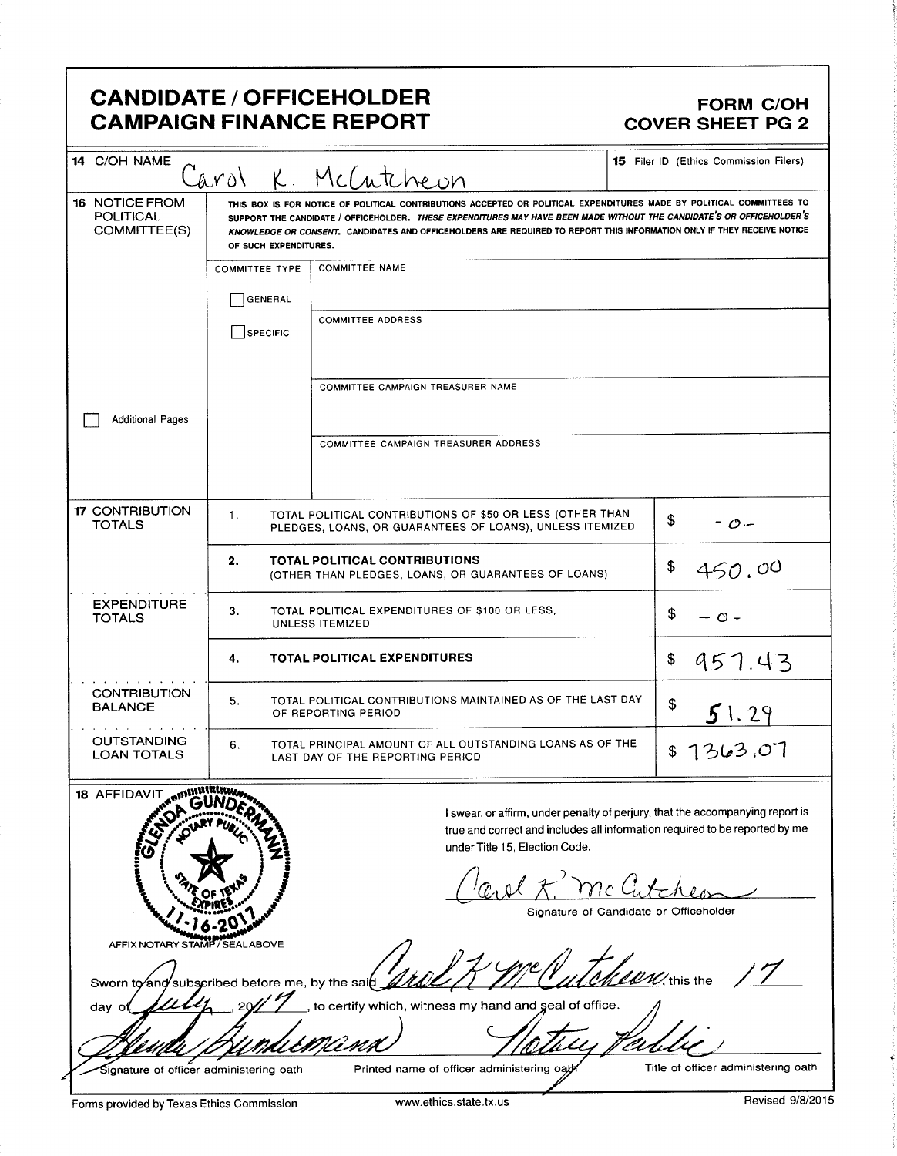## CANDIDATE / OFFICEHOLDER<br>CAMPAIGN FINANCE REPORT CAMPAIGN FORM COVER SHEET PG 2 **CAMPAIGN FINANCE REPORT**

| 14 C/OH NAME                                              |                                                                                          |                                                                                                                                                                                                                                                                                                                                                                                          | 15 Filer ID (Ethics Commission Filers)                                                                                                                       |
|-----------------------------------------------------------|------------------------------------------------------------------------------------------|------------------------------------------------------------------------------------------------------------------------------------------------------------------------------------------------------------------------------------------------------------------------------------------------------------------------------------------------------------------------------------------|--------------------------------------------------------------------------------------------------------------------------------------------------------------|
| <b>16 NOTICE FROM</b><br><b>POLITICAL</b><br>COMMITTEE(S) | Carol<br>OF SUCH EXPENDITURES.                                                           | K. McCutcheon<br>THIS BOX IS FOR NOTICE OF POLITICAL CONTRIBUTIONS ACCEPTED OR POLITICAL EXPENDITURES MADE BY POLITICAL COMMITTEES TO<br>SUPPORT THE CANDIDATE / OFFICEHOLDER. THESE EXPENDITURES MAY HAVE BEEN MADE WITHOUT THE CANDIDATE'S OR OFFICEHOLDER'S<br>KNOWLEDGE OR CONSENT. CANDIDATES AND OFFICEHOLDERS ARE REQUIRED TO REPORT THIS INFORMATION ONLY IF THEY RECEIVE NOTICE |                                                                                                                                                              |
|                                                           | <b>COMMITTEE TYPE</b>                                                                    | <b>COMMITTEE NAME</b>                                                                                                                                                                                                                                                                                                                                                                    |                                                                                                                                                              |
|                                                           | GENERAL                                                                                  |                                                                                                                                                                                                                                                                                                                                                                                          |                                                                                                                                                              |
|                                                           | SPECIFIC                                                                                 | <b>COMMITTEE ADDRESS</b>                                                                                                                                                                                                                                                                                                                                                                 |                                                                                                                                                              |
|                                                           |                                                                                          | COMMITTEE CAMPAIGN TREASURER NAME                                                                                                                                                                                                                                                                                                                                                        |                                                                                                                                                              |
| <b>Additional Pages</b>                                   |                                                                                          |                                                                                                                                                                                                                                                                                                                                                                                          |                                                                                                                                                              |
|                                                           |                                                                                          | COMMITTEE CAMPAIGN TREASURER ADDRESS                                                                                                                                                                                                                                                                                                                                                     |                                                                                                                                                              |
| <b>17 CONTRIBUTION</b><br><b>TOTALS</b>                   | 1.                                                                                       | TOTAL POLITICAL CONTRIBUTIONS OF \$50 OR LESS (OTHER THAN<br>PLEDGES, LOANS, OR GUARANTEES OF LOANS), UNLESS ITEMIZED                                                                                                                                                                                                                                                                    | \$<br>- o -                                                                                                                                                  |
|                                                           | 2.                                                                                       | <b>TOTAL POLITICAL CONTRIBUTIONS</b><br>(OTHER THAN PLEDGES, LOANS, OR GUARANTEES OF LOANS)                                                                                                                                                                                                                                                                                              | \$<br>450.00                                                                                                                                                 |
| <b>EXPENDITURE</b><br><b>TOTALS</b>                       | 3.                                                                                       | TOTAL POLITICAL EXPENDITURES OF \$100 OR LESS,<br>UNLESS ITEMIZED                                                                                                                                                                                                                                                                                                                        | S<br>— ი –                                                                                                                                                   |
|                                                           | 4.                                                                                       | <b>TOTAL POLITICAL EXPENDITURES</b>                                                                                                                                                                                                                                                                                                                                                      | \$<br>957.43                                                                                                                                                 |
| <b>CONTRIBUTION</b><br><b>BALANCE</b>                     | TOTAL POLITICAL CONTRIBUTIONS MAINTAINED AS OF THE LAST DAY<br>5.<br>OF REPORTING PERIOD |                                                                                                                                                                                                                                                                                                                                                                                          | \$<br>51.29                                                                                                                                                  |
| <b>OUTSTANDING</b><br><b>LOAN TOTALS</b>                  | 6.                                                                                       | TOTAL PRINCIPAL AMOUNT OF ALL OUTSTANDING LOANS AS OF THE<br>LAST DAY OF THE REPORTING PERIOD                                                                                                                                                                                                                                                                                            | 1363.07<br>\$                                                                                                                                                |
| 18 AFFIDAVIT ANNUMERIALLY                                 |                                                                                          | under Title 15, Election Code.                                                                                                                                                                                                                                                                                                                                                           | I swear, or affirm, under penalty of perjury, that the accompanying report is<br>true and correct and includes all information required to be reported by me |
|                                                           |                                                                                          |                                                                                                                                                                                                                                                                                                                                                                                          | Signature of Candidate or Officeholder                                                                                                                       |
| AFFIX NOTARY STAMP/SEALABOVE                              |                                                                                          |                                                                                                                                                                                                                                                                                                                                                                                          |                                                                                                                                                              |
| Sworn to and subscribed before me, by the said            |                                                                                          |                                                                                                                                                                                                                                                                                                                                                                                          | $\frac{1}{2}$ this the                                                                                                                                       |
| day<br>٥                                                  |                                                                                          | to certify which, witness my hand and seal of office.                                                                                                                                                                                                                                                                                                                                    |                                                                                                                                                              |
|                                                           |                                                                                          |                                                                                                                                                                                                                                                                                                                                                                                          |                                                                                                                                                              |
| Signature of officer administering oath                   |                                                                                          | Printed name of officer administering oat                                                                                                                                                                                                                                                                                                                                                | Title of officer administering oath                                                                                                                          |

Forms provided by Texas Ethics Commission www.ethics.state.tx.us Revised 9/8/2015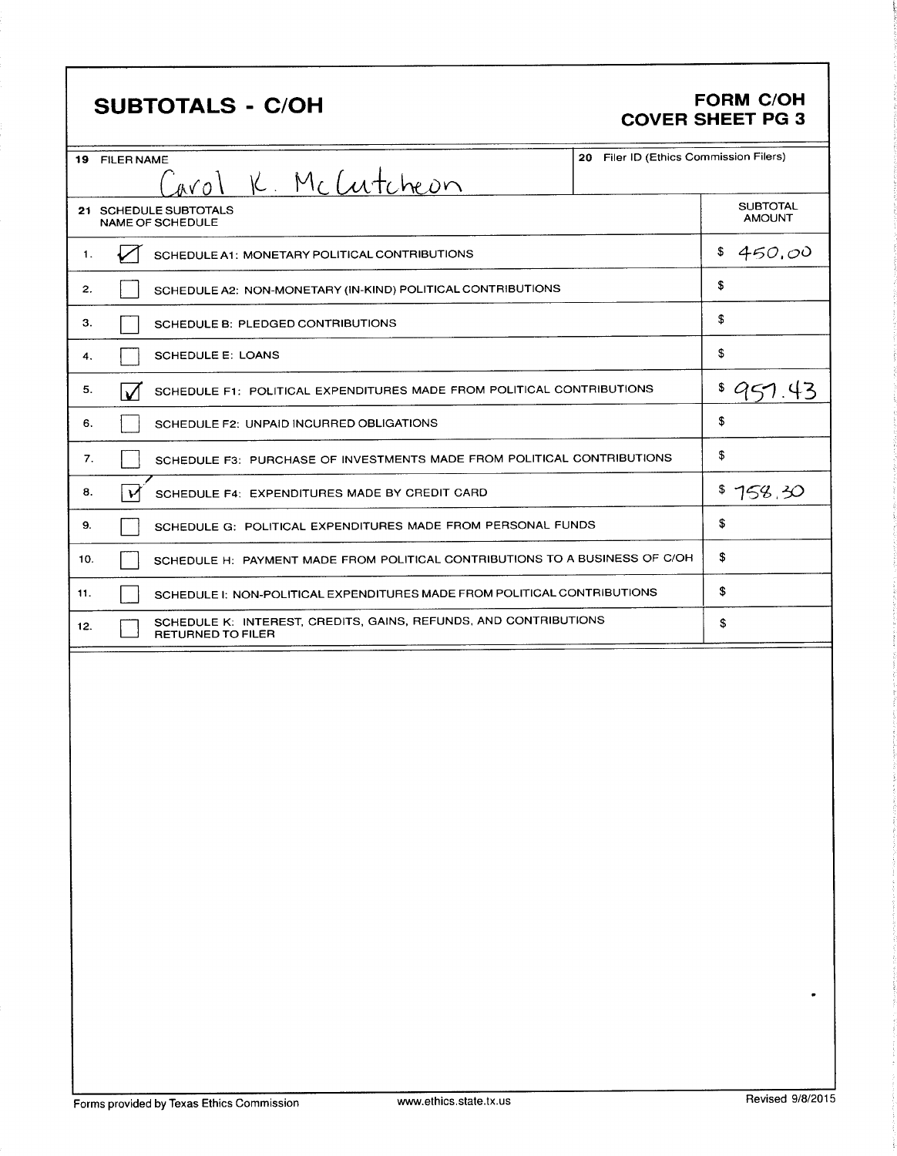## SUBTOTALS - C/OH FORM C/OH

# COVER SHEET PG 3

|     | 20 Filer ID (Ethics Commission Filers)<br><b>19 FILER NAME</b>                               |                                  |
|-----|----------------------------------------------------------------------------------------------|----------------------------------|
|     | Carol K. McCutcheon                                                                          |                                  |
|     | 21 SCHEDULE SUBTOTALS<br><b>NAME OF SCHEDULE</b>                                             | <b>SUBTOTAL</b><br><b>AMOUNT</b> |
| 1.  | SCHEDULE A1: MONETARY POLITICAL CONTRIBUTIONS                                                | 450,00<br>\$                     |
| 2.  | SCHEDULE A2: NON-MONETARY (IN-KIND) POLITICAL CONTRIBUTIONS                                  | \$                               |
| З.  | SCHEDULE B: PLEDGED CONTRIBUTIONS                                                            | \$                               |
| 4.  | <b>SCHEDULE E: LOANS</b>                                                                     | \$                               |
| 5.  | SCHEDULE F1: POLITICAL EXPENDITURES MADE FROM POLITICAL CONTRIBUTIONS<br>∣√                  | \$951                            |
| 6.  | SCHEDULE F2: UNPAID INCURRED OBLIGATIONS                                                     | \$                               |
| 7.  | SCHEDULE F3: PURCHASE OF INVESTMENTS MADE FROM POLITICAL CONTRIBUTIONS                       | \$                               |
| 8.  | SCHEDULE F4: EXPENDITURES MADE BY CREDIT CARD                                                | \$758.30                         |
| 9.  | SCHEDULE G: POLITICAL EXPENDITURES MADE FROM PERSONAL FUNDS                                  | \$                               |
| 10. | SCHEDULE H: PAYMENT MADE FROM POLITICAL CONTRIBUTIONS TO A BUSINESS OF C/OH                  | \$                               |
| 11. | SCHEDULE I: NON-POLITICAL EXPENDITURES MADE FROM POLITICAL CONTRIBUTIONS                     | \$                               |
| 12. | SCHEDULE K: INTEREST, CREDITS, GAINS, REFUNDS, AND CONTRIBUTIONS<br><b>RETURNED TO FILER</b> | \$                               |
|     |                                                                                              |                                  |
|     |                                                                                              |                                  |
|     |                                                                                              |                                  |

 $\ddot{\phantom{a}}$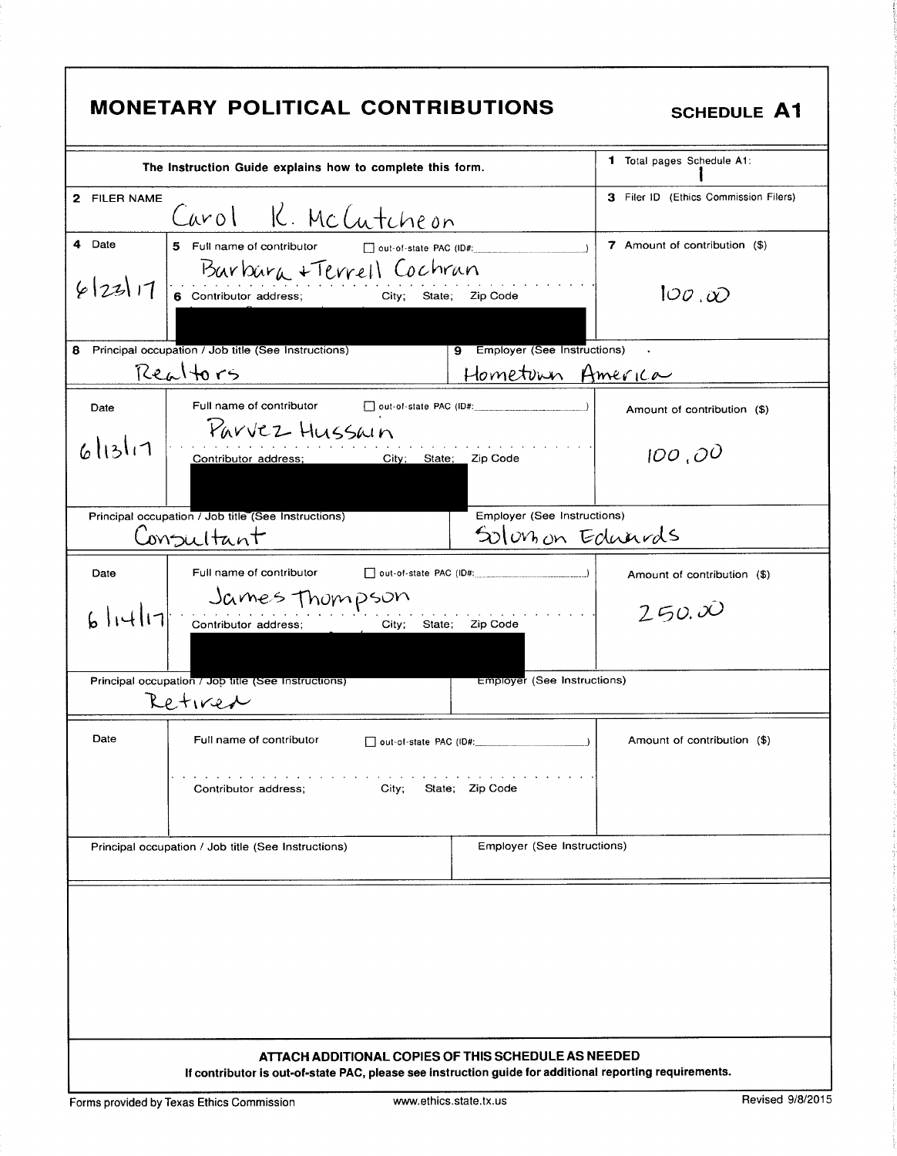|                                                                                               | <b>MONETARY POLITICAL CONTRIBUTIONS</b>                                                                 |                                        | <b>SCHEDULE A1</b>                    |  |
|-----------------------------------------------------------------------------------------------|---------------------------------------------------------------------------------------------------------|----------------------------------------|---------------------------------------|--|
| The Instruction Guide explains how to complete this form.                                     |                                                                                                         |                                        | <b>1</b> Total pages Schedule A1:     |  |
| 2 FILER NAME                                                                                  | Carol K. McCutcheon                                                                                     |                                        | 3 Filer ID (Ethics Commission Filers) |  |
| 4 Date                                                                                        | 5 Full name of contributor<br>$\Box$ out-of-state PAC (ID#:<br>Barbara + Terrell Cochran                |                                        | 7 Amount of contribution (\$)         |  |
| 6 23 11                                                                                       | 6 Contributor address;<br>Zip Code<br>City;<br>State;                                                   |                                        | 100,00                                |  |
| 8                                                                                             | Principal occupation / Job title (See Instructions)                                                     | 9 Employer (See Instructions)          |                                       |  |
|                                                                                               | Realtors                                                                                                | Hometoun America                       |                                       |  |
| Date                                                                                          | Full name of contributor (a) out-of-state PAC (ID#: _____________________________<br>Parvez Hussain     |                                        | Amount of contribution (\$)           |  |
| 6 13 11                                                                                       | City; State; Zip Code<br>Contributor address;                                                           |                                        | 100,00                                |  |
|                                                                                               | Principal occupation / Job title (See Instructions)                                                     | Employer (See Instructions)            |                                       |  |
|                                                                                               | Consultant                                                                                              | Solonon Eduards                        |                                       |  |
| Date                                                                                          | Full name of contributor and out-of-state PAC (ID#: _____________________________                       |                                        | Amount of contribution (\$)           |  |
|                                                                                               | $6$   4  7  Sarnes Thompson<br>$\mathcal{L}$<br>City;                                                   | State; Zip Code                        | 250.00                                |  |
| Employer (See Instructions)<br>Principal occupation / Job title (See Instructions)<br>Retirer |                                                                                                         |                                        |                                       |  |
| Date                                                                                          | Full name of contributor                                                                                | out-of-state PAC (ID#: _______________ | Amount of contribution (\$)           |  |
| State; Zip Code<br>Contributor address:<br>City;                                              |                                                                                                         |                                        |                                       |  |
|                                                                                               | Principal occupation / Job title (See Instructions)                                                     | Employer (See Instructions)            |                                       |  |
|                                                                                               | ATTACH ADDITIONAL COPIES OF THIS SCHEDULE AS NEEDED                                                     |                                        |                                       |  |
|                                                                                               | If contributor is out-of-state PAC, please see instruction guide for additional reporting requirements. |                                        |                                       |  |

Forms provided by Texas Ethics Commission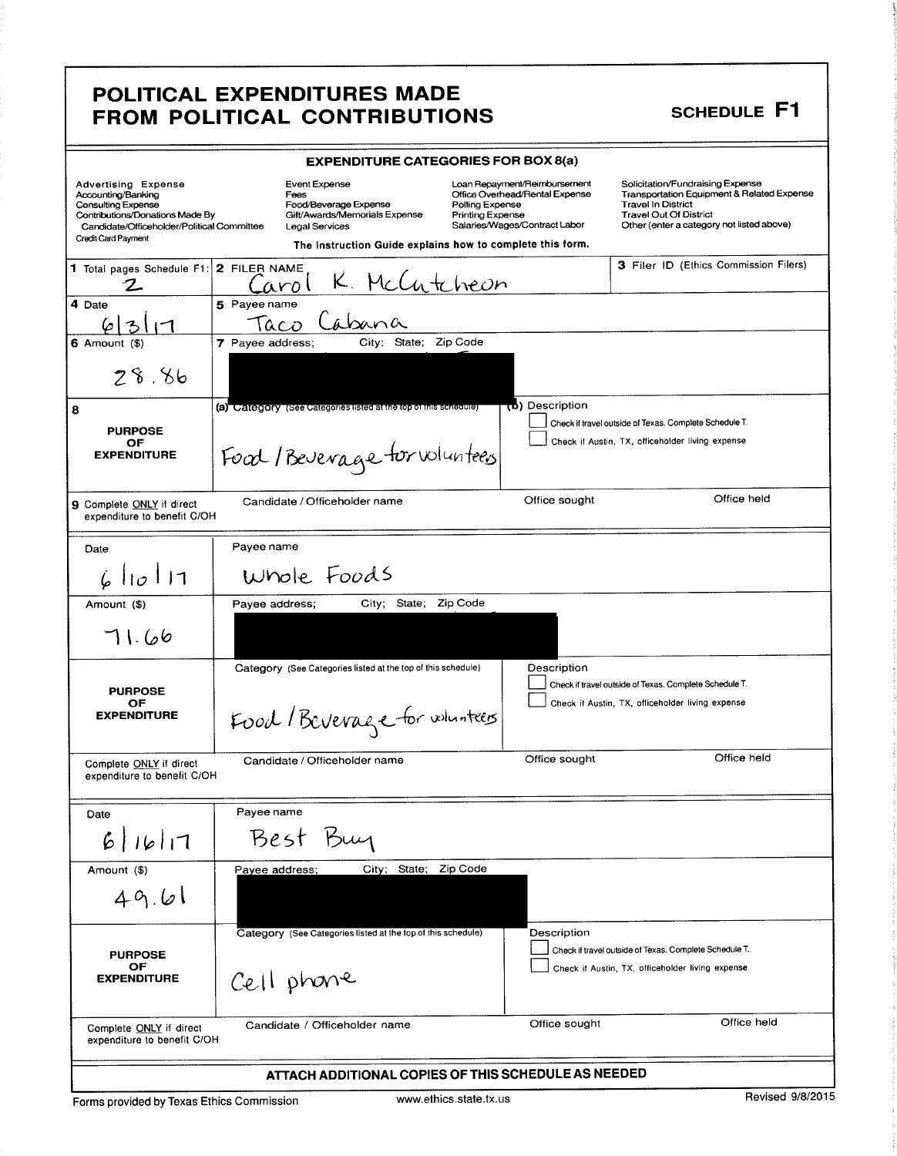### POLITICAL EXPENDITURES MADE FROM POLITICAL CONTRIBUTIONS

|                                                                                                                                                                                | <b>EXPENDITURE CATEGORIES FOR BOX 8(a)</b>                                                                                                                            |                                                                                                                                               |                                                                                                                                                                                                      |
|--------------------------------------------------------------------------------------------------------------------------------------------------------------------------------|-----------------------------------------------------------------------------------------------------------------------------------------------------------------------|-----------------------------------------------------------------------------------------------------------------------------------------------|------------------------------------------------------------------------------------------------------------------------------------------------------------------------------------------------------|
| <b>Advertising Expense</b><br>Accounting/Banking<br>Consulting Expense<br>Contributions/Donations Made By<br>Candidate/Officeholder/Political Committee<br>Credit Card Payment | Event Expense<br>Fees<br>Food/Beverage Expense<br>Gift/Awards/Memorials Expense<br><b>Legal Services</b><br>The Instruction Guide explains how to complete this form. | Loan Repayment/Reimbursement<br>Office Overhead/Rental Expense<br>Polling Expense<br><b>Printing Expense</b><br>Salaries/Wages/Contract Labor | Solicitation/Fundraising Expense<br><b>Transportation Equipment &amp; Related Expense</b><br><b>Travel In District</b><br><b>Travel Out Of District</b><br>Other (enter a category not listed above) |
| 1 Total pages Schedule F1:                                                                                                                                                     | 2 FILER NAME                                                                                                                                                          |                                                                                                                                               | 3 Filer ID (Ethics Commission Filers)                                                                                                                                                                |
|                                                                                                                                                                                | McCutcheon<br>aro l                                                                                                                                                   |                                                                                                                                               |                                                                                                                                                                                                      |
| 4 Date                                                                                                                                                                         | 5 Payee name                                                                                                                                                          |                                                                                                                                               |                                                                                                                                                                                                      |
| 6                                                                                                                                                                              | Cabana<br>Taco                                                                                                                                                        |                                                                                                                                               |                                                                                                                                                                                                      |
| <b>6</b> Amount (\$)                                                                                                                                                           | City; State; Zip Code<br>7 Payee address;                                                                                                                             |                                                                                                                                               |                                                                                                                                                                                                      |
| 28.86                                                                                                                                                                          |                                                                                                                                                                       |                                                                                                                                               |                                                                                                                                                                                                      |
| 8                                                                                                                                                                              | (a) Category (See Categories listed at the top of this schedule)                                                                                                      | (b) Description                                                                                                                               |                                                                                                                                                                                                      |
| <b>PURPOSE</b>                                                                                                                                                                 |                                                                                                                                                                       |                                                                                                                                               | Check if travel outside of Texas. Complete Schedule T.                                                                                                                                               |
| OF<br><b>EXPENDITURE</b>                                                                                                                                                       | Food / Beverage for voluntees                                                                                                                                         |                                                                                                                                               | Check if Austin, TX, officeholder living expense                                                                                                                                                     |
| 9 Complete ONLY if direct<br>expenditure to benefit C/OH                                                                                                                       | Candidate / Officeholder name                                                                                                                                         | Office sought                                                                                                                                 | Office held                                                                                                                                                                                          |
| Date                                                                                                                                                                           | Payee name                                                                                                                                                            |                                                                                                                                               |                                                                                                                                                                                                      |
| 610111                                                                                                                                                                         | Whole Foods                                                                                                                                                           |                                                                                                                                               |                                                                                                                                                                                                      |
| Amount (\$)                                                                                                                                                                    | State;<br>Payee address;<br>City;                                                                                                                                     | Zip Code                                                                                                                                      |                                                                                                                                                                                                      |
| 11.66                                                                                                                                                                          |                                                                                                                                                                       |                                                                                                                                               |                                                                                                                                                                                                      |
|                                                                                                                                                                                | Category (See Categories listed at the top of this schedule)                                                                                                          | Description                                                                                                                                   | Check if travel outside of Texas. Complete Schedule T.                                                                                                                                               |
| <b>PURPOSE</b><br>OF<br><b>EXPENDITURE</b>                                                                                                                                     | Food / Beverage for whenters                                                                                                                                          |                                                                                                                                               | Check if Austin, TX, officeholder living expense                                                                                                                                                     |
| Complete ONLY if direct<br>expenditure to benefit C/OH                                                                                                                         | Candidate / Officeholder name                                                                                                                                         | Office sought                                                                                                                                 | Office held                                                                                                                                                                                          |
| Date                                                                                                                                                                           | Payee name                                                                                                                                                            |                                                                                                                                               |                                                                                                                                                                                                      |
| 6 16 17                                                                                                                                                                        | Best Buy                                                                                                                                                              |                                                                                                                                               |                                                                                                                                                                                                      |
| Amount (\$)                                                                                                                                                                    | City; State;<br>Payee address;                                                                                                                                        | Zip Code                                                                                                                                      |                                                                                                                                                                                                      |
| 49.61                                                                                                                                                                          |                                                                                                                                                                       |                                                                                                                                               |                                                                                                                                                                                                      |
|                                                                                                                                                                                | Category (See Categories listed at the top of this schedule)                                                                                                          | Description                                                                                                                                   |                                                                                                                                                                                                      |
| <b>PURPOSE</b>                                                                                                                                                                 |                                                                                                                                                                       |                                                                                                                                               | Check if travel outside of Texas. Complete Schedule T.                                                                                                                                               |
| оғ<br><b>EXPENDITURE</b>                                                                                                                                                       | Cell phone                                                                                                                                                            |                                                                                                                                               | Check if Austin, TX, officeholder living expense                                                                                                                                                     |
| Complete ONLY if direct<br>expenditure to benefit C/OH                                                                                                                         | Candidate / Officeholder name                                                                                                                                         | Office sought                                                                                                                                 | Office held                                                                                                                                                                                          |
|                                                                                                                                                                                | ATTACH ADDITIONAL COPIES OF THIS SCHEDULE AS NEEDED                                                                                                                   |                                                                                                                                               |                                                                                                                                                                                                      |

SCHEDULE F1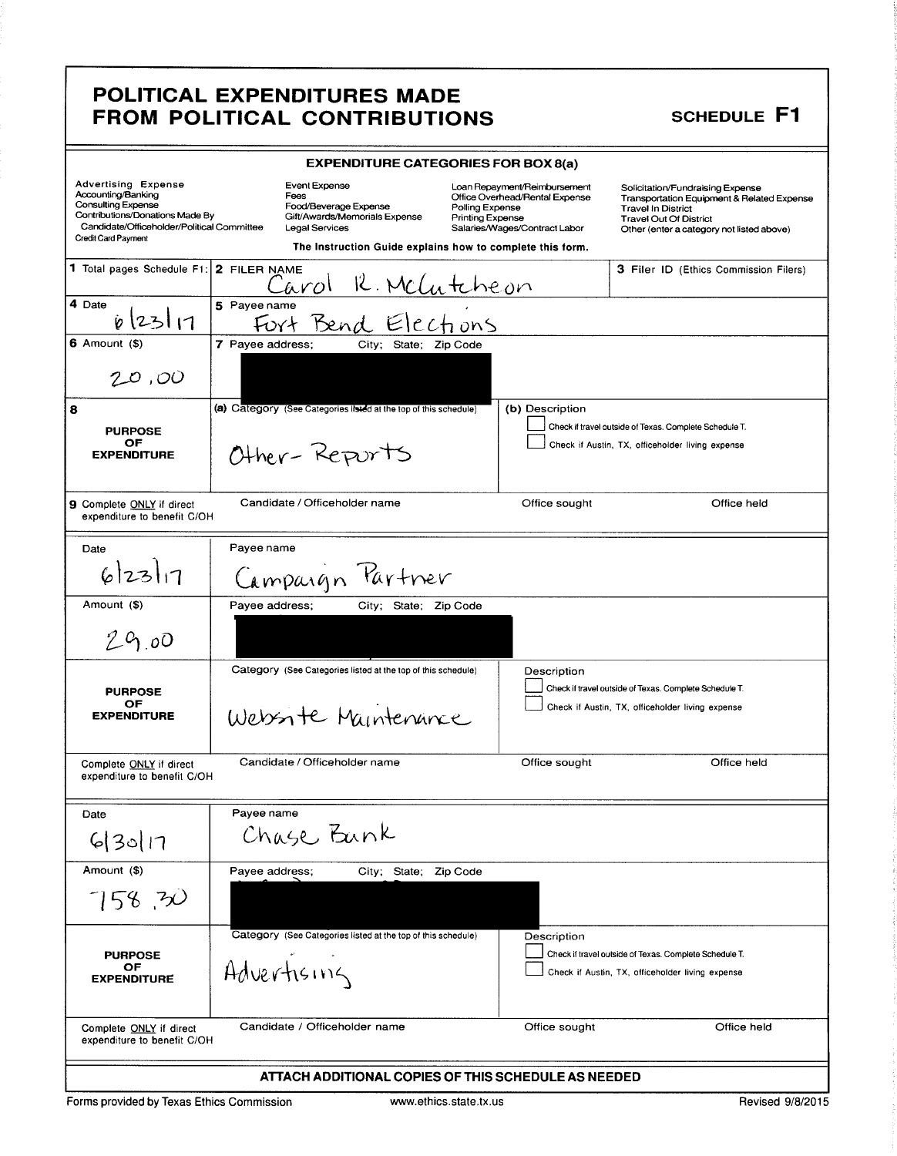## POLITICAL EXPENDITURES MADE FROM POLITICAL CONTRIBUTIONS SCHEDULE F1

|                                                                               | <b>EXPENDITURE CATEGORIES FOR BOX 8(a)</b>                                                             |                                                                |                                                                         |  |
|-------------------------------------------------------------------------------|--------------------------------------------------------------------------------------------------------|----------------------------------------------------------------|-------------------------------------------------------------------------|--|
| <b>Advertising Expense</b><br>Accounting/Banking                              | <b>Event Expense</b><br>Fees                                                                           | Loan Repayment/Reimbursement<br>Office Overhead/Rental Expense | Solicitation/Fundraising Expense                                        |  |
| <b>Consulting Expense</b>                                                     | Food/Beverage Expense                                                                                  | Polling Expense                                                | Transportation Equipment & Related Expense<br><b>Travel In District</b> |  |
| Contributions/Donations Made By<br>Candidate/Officeholder/Political Committee | Gift/Awards/Memorials Expense<br>Legal Services                                                        | Printing Expense<br>Salaries/Wages/Contract Labor              | <b>Travel Out Of District</b>                                           |  |
| <b>Credit Card Payment</b>                                                    | Other (enter a category not listed above)<br>The Instruction Guide explains how to complete this form. |                                                                |                                                                         |  |
| 1 Total pages Schedule F1:                                                    | 2 FILER NAME<br><u>R. McLutcheon</u><br>Larol                                                          |                                                                | <b>3 Filer ID (Ethics Commission Filers)</b>                            |  |
| 4 Date                                                                        | 5 Payee name                                                                                           |                                                                |                                                                         |  |
| 6 23 11                                                                       | Fort Bend Elections                                                                                    |                                                                |                                                                         |  |
| $6$ Amount $($ )                                                              | 7 Payee address;<br>City; State; Zip Code                                                              |                                                                |                                                                         |  |
| 20,00                                                                         |                                                                                                        |                                                                |                                                                         |  |
| 8                                                                             | (a) Category (See Categories listed at the top of this schedule)                                       | (b) Description                                                |                                                                         |  |
| <b>PURPOSE</b>                                                                |                                                                                                        |                                                                | Check if travel outside of Texas. Complete Schedule T.                  |  |
| OF                                                                            |                                                                                                        |                                                                | Check if Austin, TX, officeholder living expense                        |  |
| <b>EXPENDITURE</b>                                                            | Other-Reports                                                                                          |                                                                |                                                                         |  |
| 9 Complete ONLY if direct<br>expenditure to benefit C/OH                      | Candidate / Officeholder name                                                                          | Office sought                                                  | Office held                                                             |  |
| Date                                                                          | Payee name                                                                                             |                                                                |                                                                         |  |
|                                                                               |                                                                                                        |                                                                |                                                                         |  |
| 6 23 1                                                                        | Campaign Partner                                                                                       |                                                                |                                                                         |  |
| Amount (\$)                                                                   | Payee address;<br>City; State; Zip Code                                                                |                                                                |                                                                         |  |
| 29.00                                                                         |                                                                                                        |                                                                |                                                                         |  |
|                                                                               | Category (See Categories listed at the top of this schedule)                                           | Description                                                    |                                                                         |  |
| <b>PURPOSE</b>                                                                |                                                                                                        |                                                                | Check if travel outside of Texas. Complete Schedule T.                  |  |
| ОF                                                                            |                                                                                                        |                                                                | Check if Austin, TX, officeholder living expense                        |  |
| <b>EXPENDITURE</b>                                                            | Websorte Maintenance                                                                                   |                                                                |                                                                         |  |
| Complete ONLY if direct                                                       | Candidate / Officeholder name                                                                          | Office sought                                                  | Office held                                                             |  |
| expenditure to benefit C/OH                                                   |                                                                                                        |                                                                |                                                                         |  |
| Date                                                                          | Payee name                                                                                             |                                                                |                                                                         |  |
| 63017                                                                         | Chase Bank                                                                                             |                                                                |                                                                         |  |
| Amount (\$)                                                                   | Payee address;<br>City; State; Zip Code                                                                |                                                                |                                                                         |  |
| 758,70                                                                        |                                                                                                        |                                                                |                                                                         |  |
|                                                                               | Category (See Categories listed at the top of this schedule)                                           | Description                                                    |                                                                         |  |
| <b>PURPOSE</b>                                                                |                                                                                                        |                                                                | Check if travel outside of Texas. Complete Schedule T.                  |  |
| ОF                                                                            | Advertising                                                                                            |                                                                | Check if Austin, TX, officeholder living expense                        |  |
| <b>EXPENDITURE</b>                                                            |                                                                                                        |                                                                |                                                                         |  |
| Complete ONLY if direct                                                       | Candidate / Officeholder name                                                                          | Office sought                                                  | Office held                                                             |  |
| expenditure to benefit C/OH                                                   |                                                                                                        |                                                                |                                                                         |  |
|                                                                               | ATTACH ADDITIONAL COPIES OF THIS SCHEDULE AS NEEDED                                                    |                                                                |                                                                         |  |

Forms provided by Texas Ethics Commission www.ethics.state.tx.us Revised 9/8/2015